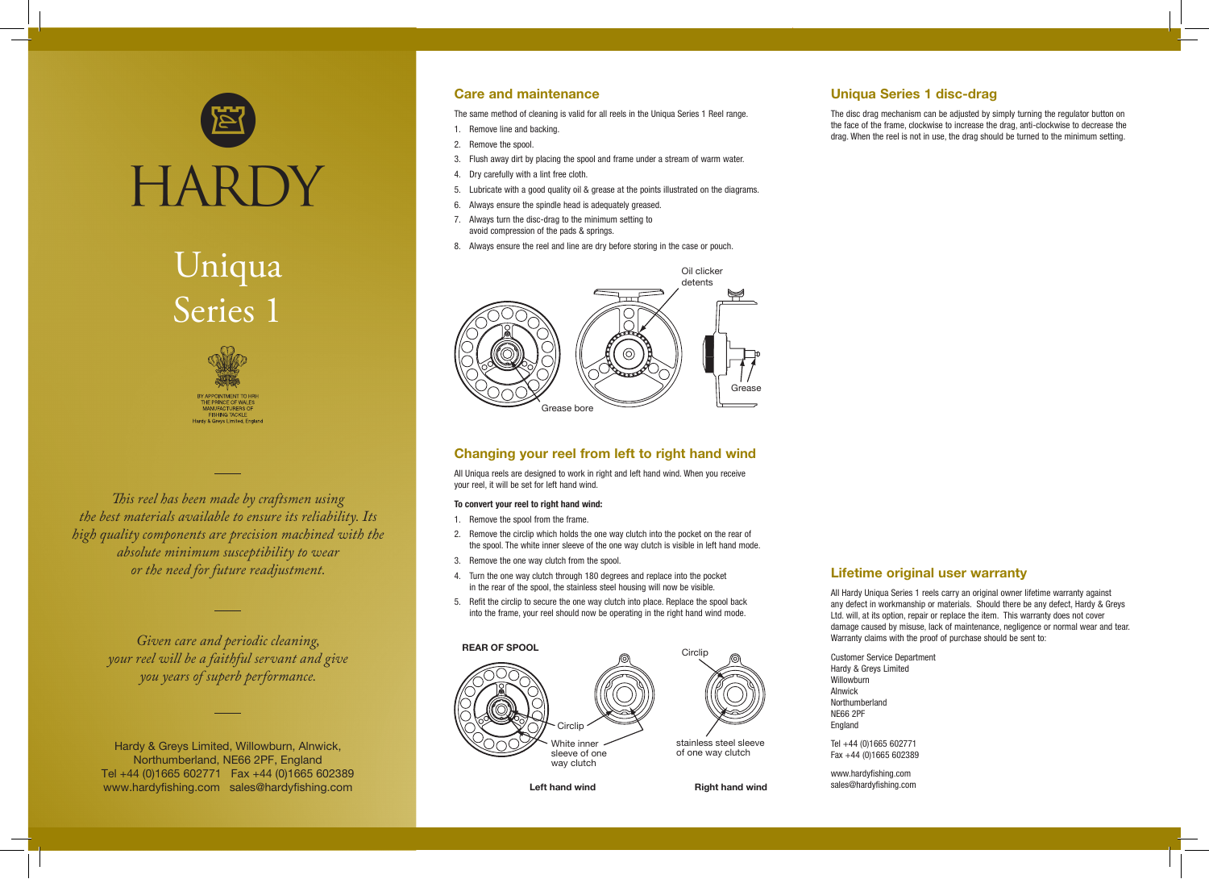

# Uniqua Series 1



*This reel has been made by craftsmen using the best materials available to ensure its reliability. Its high quality components are precision machined with the absolute minimum susceptibility to wear or the need for future readjustment.*

> *Given care and periodic cleaning, your reel will be a faithful servant and give you years of superb performance.*

Hardy & Greys Limited, Willowburn, Alnwick, Northumberland, NE66 2PF, England Tel +44 (0)1665 602771 Fax +44 (0)1665 602389 www.hardyfishing.com sales@hardyfishing.com

### Care and maintenance

The same method of cleaning is valid for all reels in the Uniqua Series 1 Reel range.

- 1. Remove line and backing.
- 2. Remove the spool.
- 3. Flush away dirt by placing the spool and frame under a stream of warm water.
- 4. Dry carefully with a lint free cloth.
- 5. Lubricate with a good quality oil & grease at the points illustrated on the diagrams.
- 6. Always ensure the spindle head is adequately greased.
- 7. Always turn the disc-drag to the minimum setting to avoid compression of the pads & springs.
- 8. Always ensure the reel and line are dry before storing in the case or pouch.



### Changing your reel from left to right hand wind

All Uniqua reels are designed to work in right and left hand wind. When you receive your reel, it will be set for left hand wind.

### To convert your reel to right hand wind:

- 1. Remove the spool from the frame.
- 2. Remove the circlip which holds the one way clutch into the pocket on the rear of the spool. The white inner sleeve of the one way clutch is visible in left hand mode.
- 3. Remove the one way clutch from the spool.
- 4. Turn the one way clutch through 180 degrees and replace into the pocket in the rear of the spool, the stainless steel housing will now be visible.
- 5. Refit the circlip to secure the one way clutch into place. Replace the spool back into the frame, your reel should now be operating in the right hand wind mode.



# Uniqua Series 1 disc-drag

The disc drag mechanism can be adjusted by simply turning the regulator button on the face of the frame, clockwise to increase the drag, anti-clockwise to decrease the drag. When the reel is not in use, the drag should be turned to the minimum setting.

# Lifetime original user warranty

All Hardy Uniqua Series 1 reels carry an original owner lifetime warranty against any defect in workmanship or materials. Should there be any defect, Hardy & Greys Ltd. will, at its option, repair or replace the item. This warranty does not cover damage caused by misuse, lack of maintenance, negligence or normal wear and tear. Warranty claims with the proof of purchase should be sent to:

Customer Service Department Hardy & Greys Limited **Willowburn** Alnwick Northumberland NE66 2PF England Tel +44 (0)1665 602771

Fax +44 (0)1665 602389

www.hardyfishing.com sales@hardyfishing.com